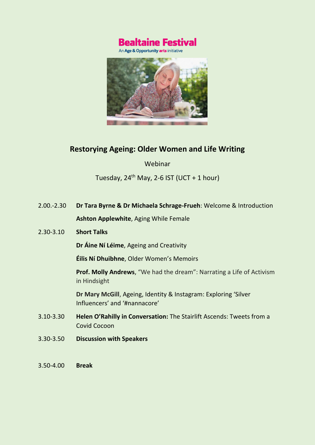

An Age & Opportunity arts initiative



# **Restorying Ageing: Older Women and Life Writing**

Webinar

Tuesday,  $24^{th}$  May, 2-6 IST (UCT + 1 hour)

2.00.-2.30 **Dr Tara Byrne & Dr Michaela Schrage-Frueh**: Welcome & Introduction **Ashton Applewhite**, Aging While Female

## 2.30-3.10 **Short Talks**

**Dr Áine Ní Léime**, Ageing and Creativity

**Éilis Ní Dhuibhne**, Older Women's Memoirs

**Prof. Molly Andrews**, "We had the dream": Narrating a Life of Activism in Hindsight

**Dr Mary McGill**, Ageing, Identity & Instagram: Exploring 'Silver Influencers' and '#nannacore'

- 3.10-3.30 **Helen O'Rahilly in Conversation:** The Stairlift Ascends: Tweets from a Covid Cocoon
- 3.30-3.50 **Discussion with Speakers**
- 3.50-4.00 **Break**